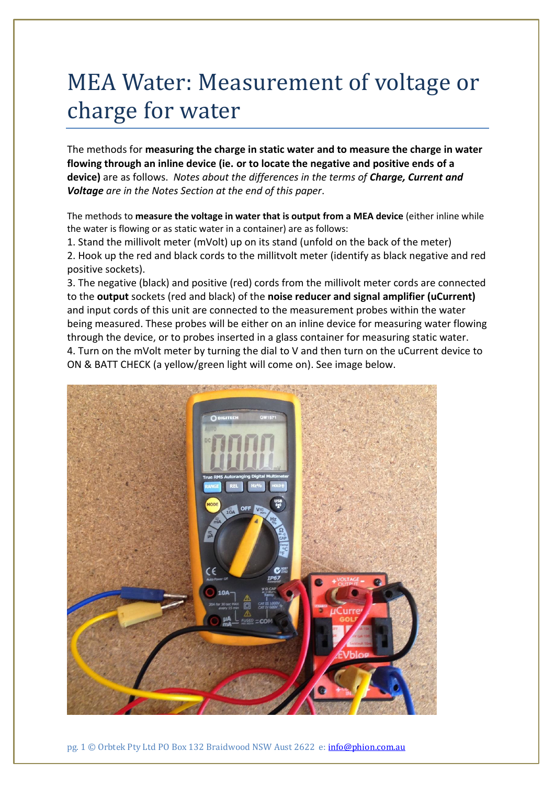## MEA Water: Measurement of voltage or charge for water

The methods for **measuring the charge in static water and to measure the charge in water flowing through an inline device (ie. or to locate the negative and positive ends of a device)** are as follows. *Notes about the differences in the terms of Charge, Current and Voltage are in the Notes Section at the end of this paper*.

The methods to **measure the voltage in water that is output from a MEA device** (either inline while the water is flowing or as static water in a container) are as follows:

1. Stand the millivolt meter (mVolt) up on its stand (unfold on the back of the meter)

2. Hook up the red and black cords to the millitvolt meter (identify as black negative and red positive sockets).

3. The negative (black) and positive (red) cords from the millivolt meter cords are connected to the **output** sockets (red and black) of the **noise reducer and signal amplifier (uCurrent)** and input cords of this unit are connected to the measurement probes within the water being measured. These probes will be either on an inline device for measuring water flowing through the device, or to probes inserted in a glass container for measuring static water. 4. Turn on the mVolt meter by turning the dial to V and then turn on the uCurrent device to ON & BATT CHECK (a yellow/green light will come on). See image below.

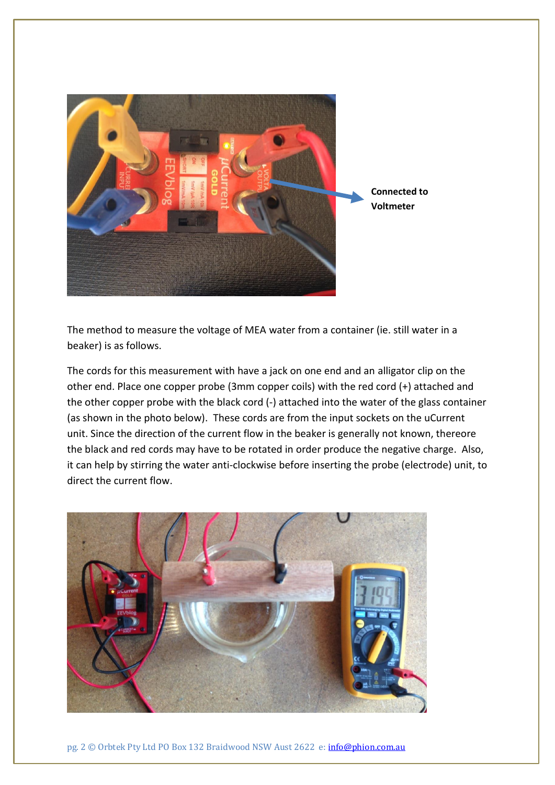

The method to measure the voltage of MEA water from a container (ie. still water in a beaker) is as follows.

The cords for this measurement with have a jack on one end and an alligator clip on the other end. Place one copper probe (3mm copper coils) with the red cord (+) attached and the other copper probe with the black cord (-) attached into the water of the glass container (as shown in the photo below). These cords are from the input sockets on the uCurrent unit. Since the direction of the current flow in the beaker is generally not known, thereore the black and red cords may have to be rotated in order produce the negative charge. Also, it can help by stirring the water anti-clockwise before inserting the probe (electrode) unit, to direct the current flow.



pg. 2 © Orbtek Pty Ltd PO Box 132 Braidwood NSW Aust 2622 e: [info@phion.com.au](mailto:info@phion.com.au)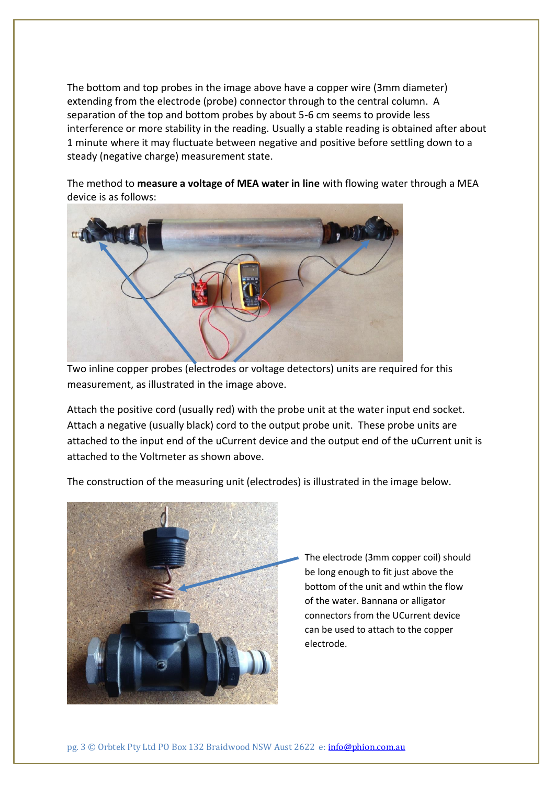The bottom and top probes in the image above have a copper wire (3mm diameter) extending from the electrode (probe) connector through to the central column. A separation of the top and bottom probes by about 5-6 cm seems to provide less interference or more stability in the reading. Usually a stable reading is obtained after about 1 minute where it may fluctuate between negative and positive before settling down to a steady (negative charge) measurement state.

The method to **measure a voltage of MEA water in line** with flowing water through a MEA device is as follows:



Two inline copper probes (electrodes or voltage detectors) units are required for this measurement, as illustrated in the image above.

Attach the positive cord (usually red) with the probe unit at the water input end socket. Attach a negative (usually black) cord to the output probe unit. These probe units are attached to the input end of the uCurrent device and the output end of the uCurrent unit is attached to the Voltmeter as shown above.

The construction of the measuring unit (electrodes) is illustrated in the image below.



The electrode (3mm copper coil) should be long enough to fit just above the bottom of the unit and wthin the flow of the water. Bannana or alligator connectors from the UCurrent device can be used to attach to the copper electrode.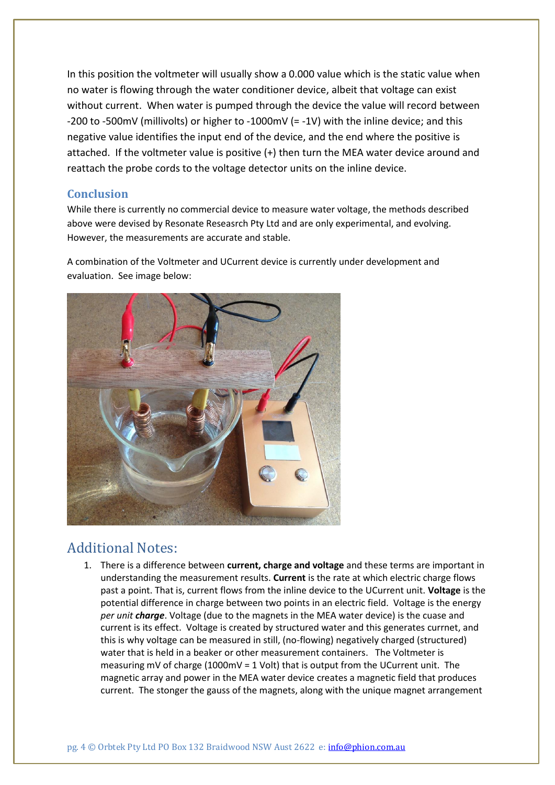In this position the voltmeter will usually show a 0.000 value which is the static value when no water is flowing through the water conditioner device, albeit that voltage can exist without current. When water is pumped through the device the value will record between -200 to -500mV (millivolts) or higher to -1000mV (= -1V) with the inline device; and this negative value identifies the input end of the device, and the end where the positive is attached. If the voltmeter value is positive (+) then turn the MEA water device around and reattach the probe cords to the voltage detector units on the inline device.

## **Conclusion**

While there is currently no commercial device to measure water voltage, the methods described above were devised by Resonate Reseasrch Pty Ltd and are only experimental, and evolving. However, the measurements are accurate and stable.

A combination of the Voltmeter and UCurrent device is currently under development and evaluation. See image below:



## Additional Notes:

1. There is a difference between **current, charge and voltage** and these terms are important in understanding the measurement results. **Current** is the rate at which electric charge flows past a point. That is, current flows from the inline device to the UCurrent unit. **Voltage** is the potential difference in charge between two points in an electric field. Voltage is the energy *per unit charge*. Voltage (due to the magnets in the MEA water device) is the cuase and current is its effect. Voltage is created by structured water and this generates currnet, and this is why voltage can be measured in still, (no-flowing) negatively charged (structured) water that is held in a beaker or other measurement containers. The Voltmeter is measuring mV of charge (1000mV = 1 Volt) that is output from the UCurrent unit. The magnetic array and power in the MEA water device creates a magnetic field that produces current. The stonger the gauss of the magnets, along with the unique magnet arrangement